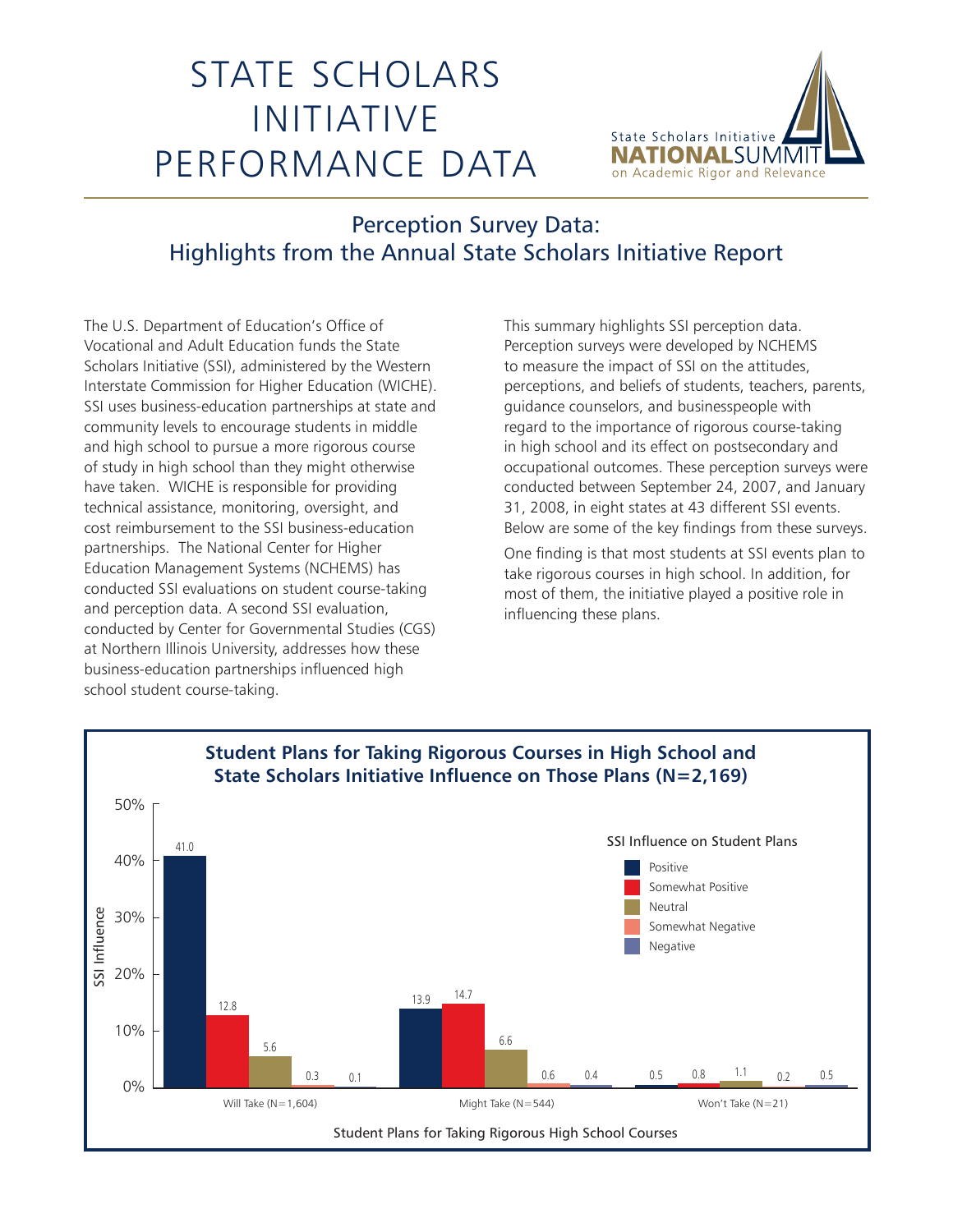## STATE SCHOLARS INITIATIVE PERFORMANCE DATA



## Perception Survey Data: Highlights from the Annual State Scholars Initiative Report

The U.S. Department of Education's Office of Vocational and Adult Education funds the State Scholars Initiative (SSI), administered by the Western Interstate Commission for Higher Education (WICHE). SSI uses business-education partnerships at state and community levels to encourage students in middle and high school to pursue a more rigorous course of study in high school than they might otherwise have taken. WICHE is responsible for providing technical assistance, monitoring, oversight, and cost reimbursement to the SSI business-education partnerships. The National Center for Higher Education Management Systems (NCHEMS) has conducted SSI evaluations on student course-taking and perception data. A second SSI evaluation, conducted by Center for Governmental Studies (CGS) at Northern Illinois University, addresses how these business-education partnerships influenced high school student course-taking.

This summary highlights SSI perception data. Perception surveys were developed by NCHEMS to measure the impact of SSI on the attitudes, perceptions, and beliefs of students, teachers, parents, guidance counselors, and businesspeople with regard to the importance of rigorous course-taking in high school and its effect on postsecondary and occupational outcomes. These perception surveys were conducted between September 24, 2007, and January 31, 2008, in eight states at 43 different SSI events. Below are some of the key findings from these surveys.

One finding is that most students at SSI events plan to take rigorous courses in high school. In addition, for most of them, the initiative played a positive role in influencing these plans.

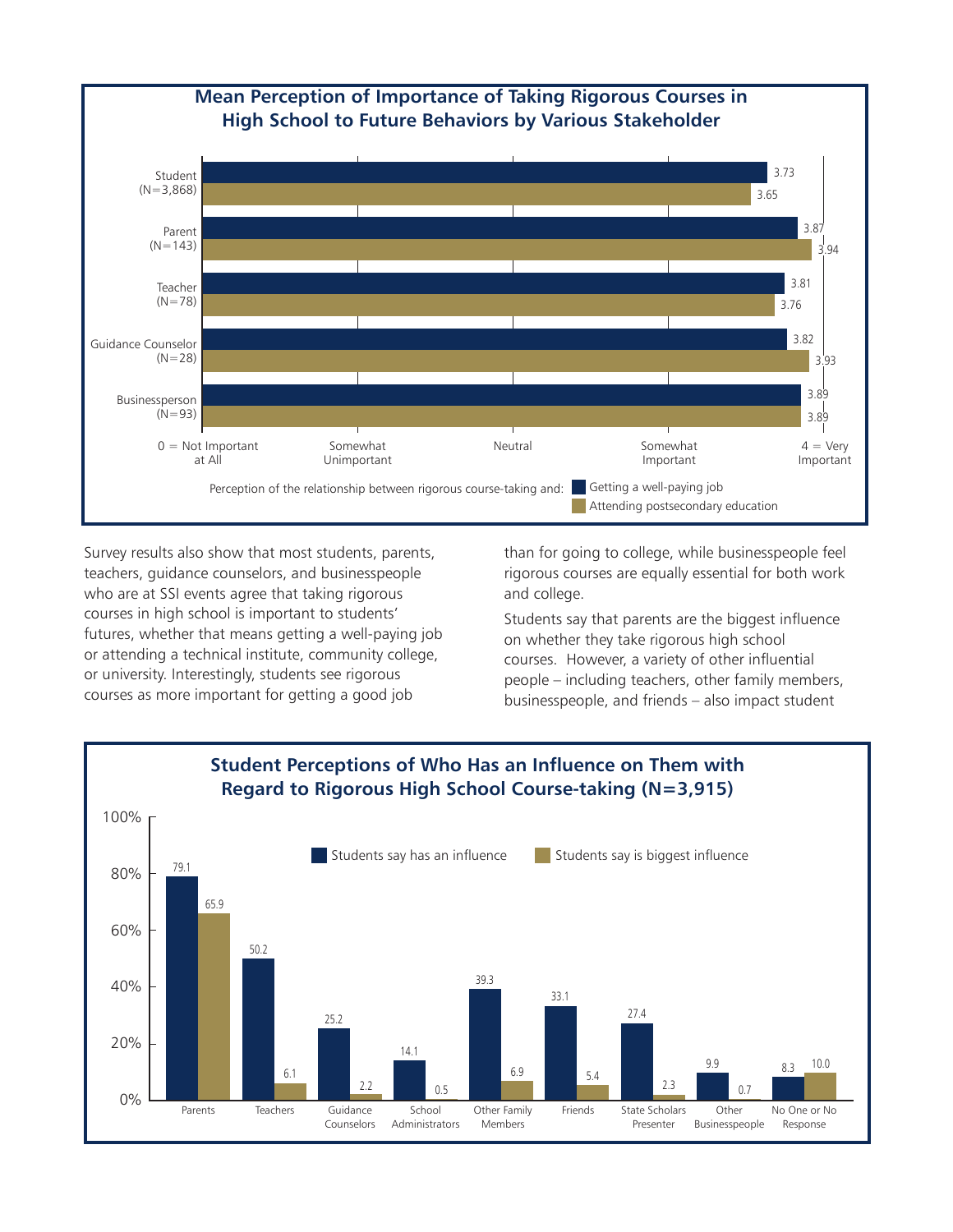

Survey results also show that most students, parents, teachers, guidance counselors, and businesspeople who are at SSI events agree that taking rigorous courses in high school is important to students' futures, whether that means getting a well-paying job or attending a technical institute, community college, or university. Interestingly, students see rigorous courses as more important for getting a good job

than for going to college, while businesspeople feel rigorous courses are equally essential for both work and college.

Students say that parents are the biggest influence on whether they take rigorous high school courses. However, a variety of other influential people – including teachers, other family members, businesspeople, and friends – also impact student